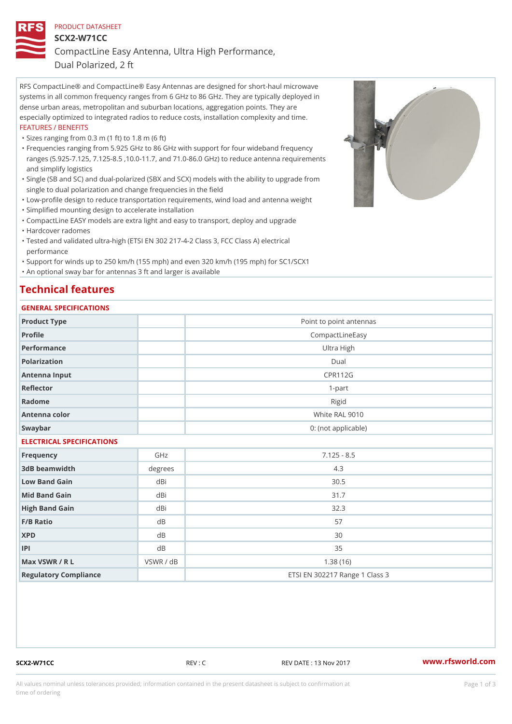# PRODUCT DATASHEET SCX2-W71CC CompactLine Easy Antenna, Ultra High Performance,

Dual Polarized, 2 ft

RFS CompactLine® and CompactLine® Easy Antennas are designed for short-haul microwave systems in all common frequency ranges from 6 GHz to 86 GHz. They are typically deployed in dense urban areas, metropolitan and suburban locations, aggregation points. They are especially optimized to integrated radios to reduce costs, installation complexity and time. FEATURES / BENEFITS

"Sizes ranging from 0.3 m (1 ft) to 1.8 m (6 ft)

- Frequencies ranging from 5.925 GHz to 86 GHz with support for four wideband frequency " ranges (5.925-7.125, 7.125-8.5 ,10.0-11.7, and 71.0-86.0 GHz) to reduce antenna requirements and simplify logistics
- Single (SB and SC) and dual-polarized (SBX and SCX) models with the ability to upgrade from " single to dual polarization and change frequencies in the field
- "Low-profile design to reduce transportation requirements, wind load and antenna weight
- "Simplified mounting design to accelerate installation

 "CompactLine EASY models are extra light and easy to transport, deploy and upgrade "Hardcover radomes

Tested and validated ultra-high (ETSI EN 302 217-4-2 Class 3, FCC Class A) electrical " performance

 "Support for winds up to 250 km/h (155 mph) and even 320 km/h (195 mph) for SC1/SCX1 "An optional sway bar for antennas 3 ft and larger is available

## Technical features

#### GENERAL SPECIFICATIONS

| Product Type              |           | Point to point antennas        |  |  |
|---------------------------|-----------|--------------------------------|--|--|
| Profile                   |           | CompactLineEasy                |  |  |
| Performance               |           | Ultra High                     |  |  |
| Polarization              |           | $D$ ual                        |  |  |
| Antenna Input             |           | <b>CPR112G</b>                 |  |  |
| Reflector                 |           | $1 - p$ art                    |  |  |
| Radome                    |           | Rigid                          |  |  |
| Antenna color             |           | White RAL 9010                 |  |  |
| Swaybar                   |           | 0: (not applicable)            |  |  |
| ELECTRICAL SPECIFICATIONS |           |                                |  |  |
| Frequency                 | GHz       | $7.125 - 8.5$                  |  |  |
| 3dB beamwidth             | degrees   | 4.3                            |  |  |
| Low Band Gain             | dBi       | $30.5$                         |  |  |
| Mid Band Gain             | dBi       | 31.7                           |  |  |
| High Band Gain            | dBi       | 32.3                           |  |  |
| $F/B$ Ratio               | d B       | 57                             |  |  |
| <b>XPD</b>                | d B       | 30                             |  |  |
| P                         | d B       | 35                             |  |  |
| Max VSWR / R L            | VSWR / dB | 1.38(16)                       |  |  |
| Regulatory Compliance     |           | ETSI EN 302217 Range 1 Class 3 |  |  |

SCX2-W71CC REV : C REV DATE : 13 Nov 2017 [www.](https://www.rfsworld.com)rfsworld.com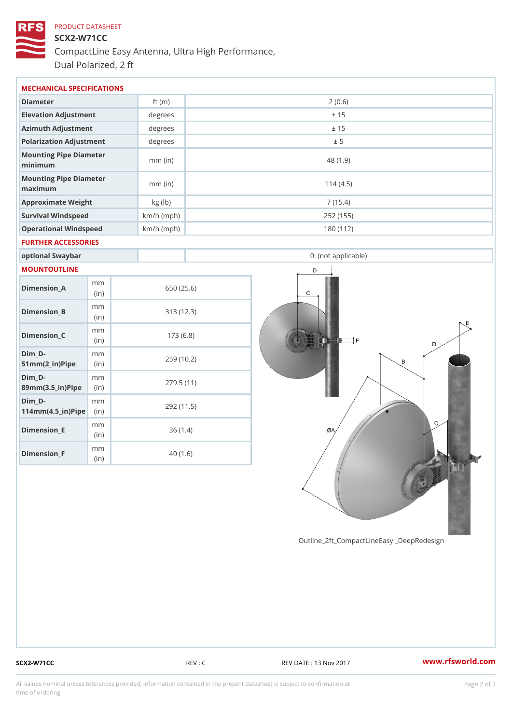# PRODUCT DATASHEET SCX2-W71CC CompactLine Easy Antenna, Ultra High Performance, Dual Polarized, 2 ft

| MECHANICAL SPECIFICATIONS                                                         |  |              |            |                     |  |
|-----------------------------------------------------------------------------------|--|--------------|------------|---------------------|--|
| Diameter                                                                          |  | ft $(m)$     | 2(0.6)     |                     |  |
| Elevation Adjustment                                                              |  | degree       | ± 15       |                     |  |
| Azimuth Adjustment                                                                |  | $degree$ :   |            | ± 15                |  |
| Polarization Adjustment                                                           |  | degree:      | ± 5        |                     |  |
| Mounting Pipe Diameter<br>minimum                                                 |  | $mm$ (in)    |            | 48(1.9)             |  |
| Mounting Pipe Diameter<br>maximum                                                 |  | $mm$ (in)    |            | 114(4.5)            |  |
| Approximate Weight                                                                |  | kg (lb)      |            | 7(15.4)             |  |
| Survival Windspeed                                                                |  | $km/h$ (mph) |            | 252 (155)           |  |
| Operational Windspeed                                                             |  | $km/h$ (mph) |            | 180 (112)           |  |
| FURTHER ACCESSORIES                                                               |  |              |            |                     |  |
| optional Swaybar                                                                  |  |              |            | 0: (not applicable) |  |
| MOUNTOUTLINE                                                                      |  |              |            |                     |  |
| m m<br>$Dimension_A$<br>(in)                                                      |  |              | 650 (25.6) |                     |  |
| m m<br>$Dimension_B$<br>(in)                                                      |  |              | 313(12.3)  |                     |  |
| m m<br>$Dimension_C$<br>(in)                                                      |  |              | 173(6.8)   |                     |  |
| $Dim_D - D -$<br>m <sub>m</sub><br>$51mm(2_in)Pip@in$                             |  |              | 259 (10.2) |                     |  |
| $Dim_D - D -$<br>m <sub>m</sub><br>89mm (3.5_in) Pi(pine                          |  |              | 279.5(11)  |                     |  |
| $Dim_D - D -$<br>m m<br>$114$ m m $(4.5$ _ i r $)$ $\mathbb{R}$ ii p $\mathbb{R}$ |  |              | 292 (11.5) |                     |  |
| m m<br>$Dimension$ = E<br>(in)                                                    |  |              | 36(1.4)    |                     |  |

Outline\_2ft\_CompactLineEasy \_DeepRedesi

Dimension\_F

m m (in)

40 (1.6)

SCX2-W71CC REV : C REV DATE : 13 Nov 2017 WWW.rfsworld.com